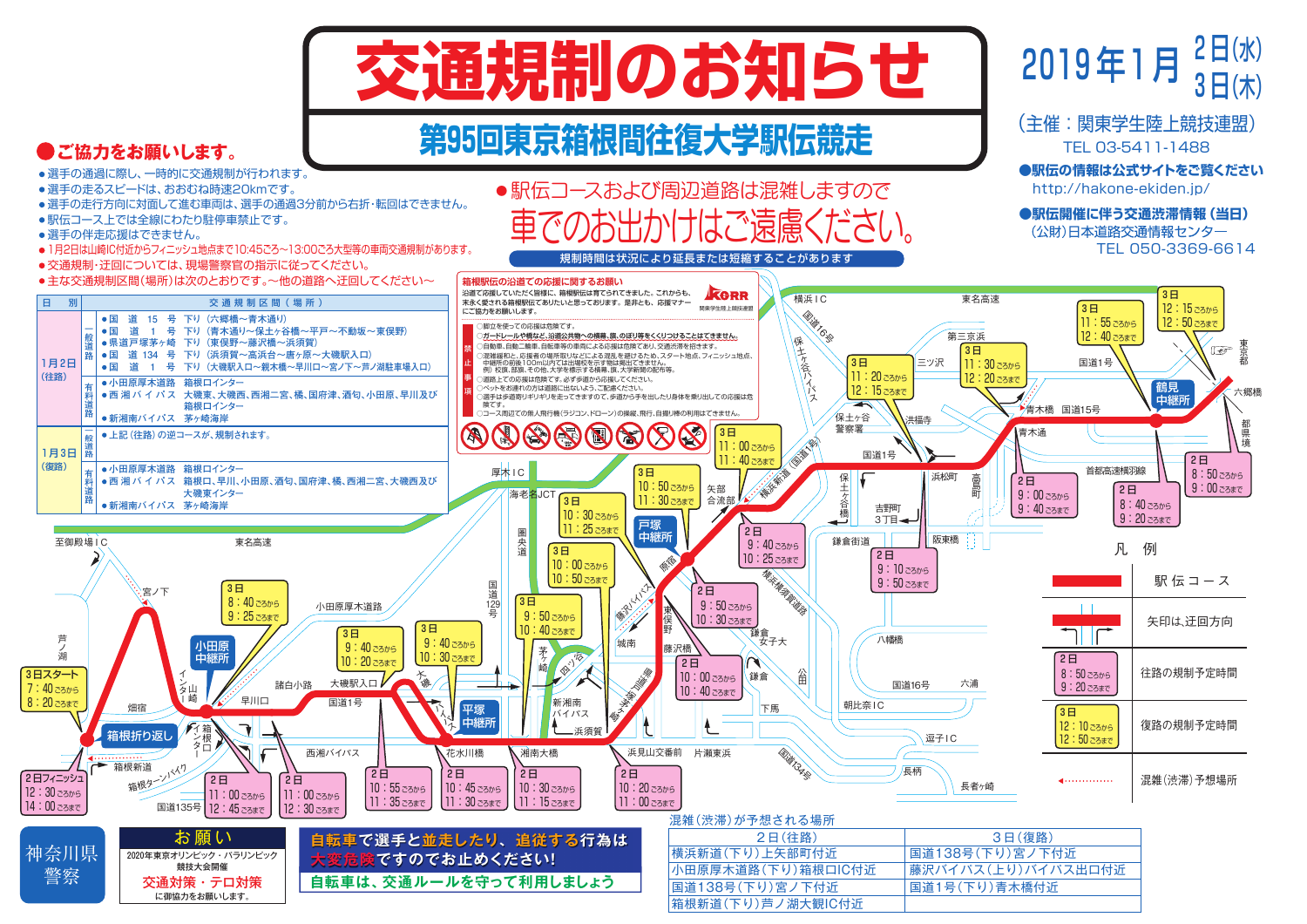